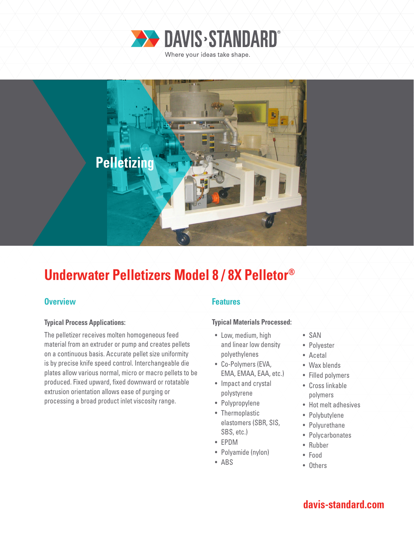



# **Underwater Pelletizers Model 8 / 8X Pelletor®**

## **Overview Allen Accept Accept Accept Accept Features**

### **Typical Process Applications:**

The pelletizer receives molten homogeneous feed material from an extruder or pump and creates pellets on a continuous basis. Accurate pellet size uniformity is by precise knife speed control. Interchangeable die plates allow various normal, micro or macro pellets to be produced. Fixed upward, fixed downward or rotatable extrusion orientation allows ease of purging or processing a broad product inlet viscosity range.

### **Typical Materials Processed:**

- Low, medium, high and linear low density polyethylenes
- Co-Polymers (EVA, EMA, EMAA, EAA, etc.)
- Impact and crystal polystyrene
- Polypropylene
- Thermoplastic elastomers (SBR, SIS, SBS, etc.)
- EPDM
- Polyamide (nylon)
- ABS
- SAN
- Polyester
- Acetal
	- Wax blends
- Filled polymers
- Cross linkable polymers
- Hot melt adhesives
- Polybutylene
- Polyurethane
- Polycarbonates
- Rubber
- Food
- Others

## **davis-standard.com**